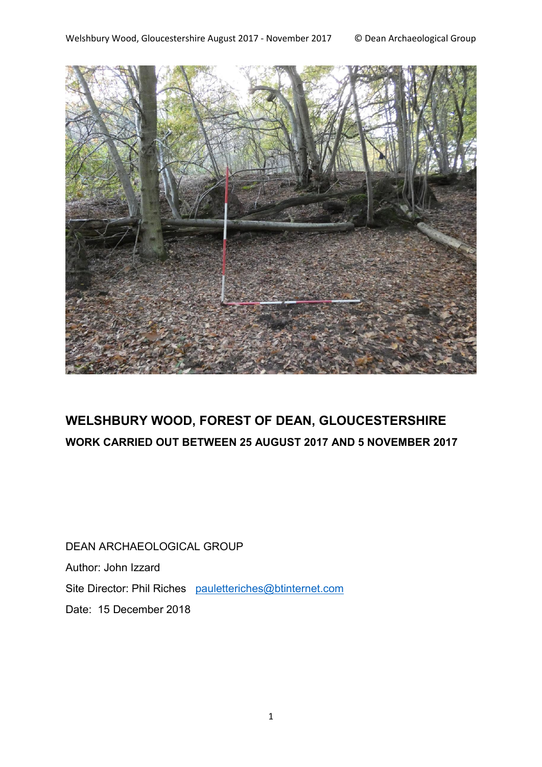

# **WELSHBURY WOOD, FOREST OF DEAN, GLOUCESTERSHIRE WORK CARRIED OUT BETWEEN 25 AUGUST 2017 AND 5 NOVEMBER 2017**

DEAN ARCHAEOLOGICAL GROUP Author: John Izzard Site Director: Phil Riches pauletteriches@btinternet.com Date: 15 December 2018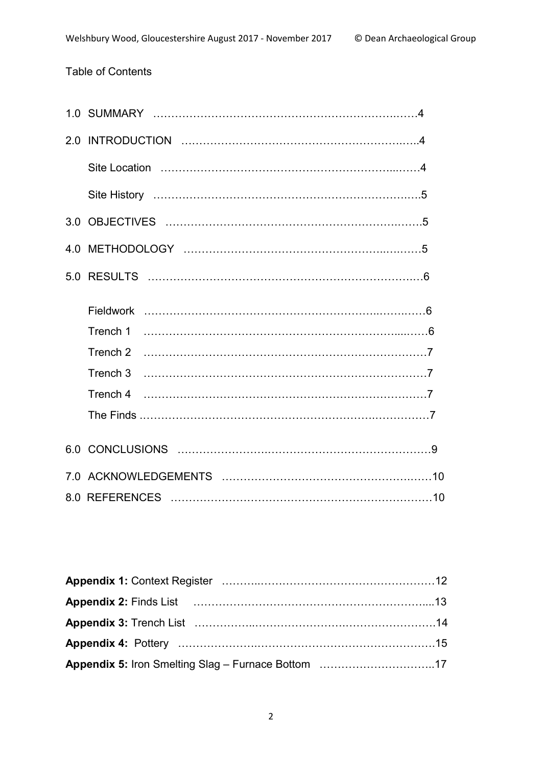## Table of Contents

| Appendix 5: Iron Smelting Slag - Furnace Bottom 17 |  |
|----------------------------------------------------|--|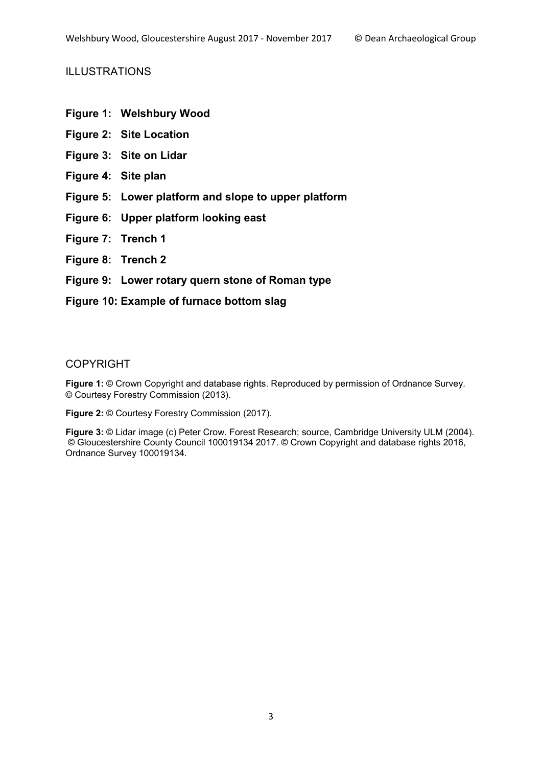#### ILLUSTRATIONS

- **Figure 1: Welshbury Wood**
- **Figure 2: Site Location**
- **Figure 3: Site on Lidar**
- **Figure 4: Site plan**
- **Figure 5: Lower platform and slope to upper platform**
- **Figure 6: Upper platform looking east**
- **Figure 7: Trench 1**
- **Figure 8: Trench 2**
- **Figure 9: Lower rotary quern stone of Roman type**
- **Figure 10: Example of furnace bottom slag**

#### COPYRIGHT

Figure 1: © Crown Copyright and database rights. Reproduced by permission of Ordnance Survey. © Courtesy Forestry Commission (2013).

**Figure 2:** © Courtesy Forestry Commission (2017).

**Figure 3:** © Lidar image (c) Peter Crow. Forest Research; source, Cambridge University ULM (2004). © Gloucestershire County Council 100019134 2017. © Crown Copyright and database rights 2016, Ordnance Survey 100019134.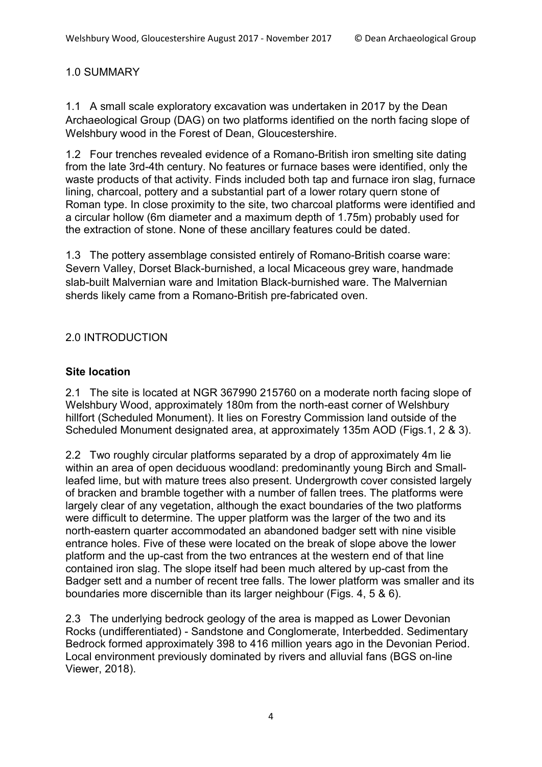## 1.0 SUMMARY

1.1 A small scale exploratory excavation was undertaken in 2017 by the Dean Archaeological Group (DAG) on two platforms identified on the north facing slope of Welshbury wood in the Forest of Dean, Gloucestershire.

1.2 Four trenches revealed evidence of a Romano-British iron smelting site dating from the late 3rd-4th century. No features or furnace bases were identified, only the waste products of that activity. Finds included both tap and furnace iron slag, furnace lining, charcoal, pottery and a substantial part of a lower rotary quern stone of Roman type. In close proximity to the site, two charcoal platforms were identified and a circular hollow (6m diameter and a maximum depth of 1.75m) probably used for the extraction of stone. None of these ancillary features could be dated.

1.3 The pottery assemblage consisted entirely of Romano-British coarse ware: Severn Valley, Dorset Black-burnished, a local Micaceous grey ware, handmade slab-built Malvernian ware and Imitation Black-burnished ware. The Malvernian sherds likely came from a Romano-British pre-fabricated oven.

### 2.0 INTRODUCTION

#### **Site location**

2.1 The site is located at NGR 367990 215760 on a moderate north facing slope of Welshbury Wood, approximately 180m from the north-east corner of Welshbury hillfort (Scheduled Monument). It lies on Forestry Commission land outside of the Scheduled Monument designated area, at approximately 135m AOD (Figs.1, 2 & 3).

2.2 Two roughly circular platforms separated by a drop of approximately 4m lie within an area of open deciduous woodland: predominantly young Birch and Smallleafed lime, but with mature trees also present. Undergrowth cover consisted largely of bracken and bramble together with a number of fallen trees. The platforms were largely clear of any vegetation, although the exact boundaries of the two platforms were difficult to determine. The upper platform was the larger of the two and its north-eastern quarter accommodated an abandoned badger sett with nine visible entrance holes. Five of these were located on the break of slope above the lower platform and the up-cast from the two entrances at the western end of that line contained iron slag. The slope itself had been much altered by up-cast from the Badger sett and a number of recent tree falls. The lower platform was smaller and its boundaries more discernible than its larger neighbour (Figs. 4, 5 & 6).

2.3 The underlying bedrock geology of the area is mapped as Lower Devonian Rocks (undifferentiated) - Sandstone and Conglomerate, Interbedded. Sedimentary Bedrock formed approximately 398 to 416 million years ago in the Devonian Period. Local environment previously dominated by rivers and alluvial fans (BGS on-line Viewer, 2018).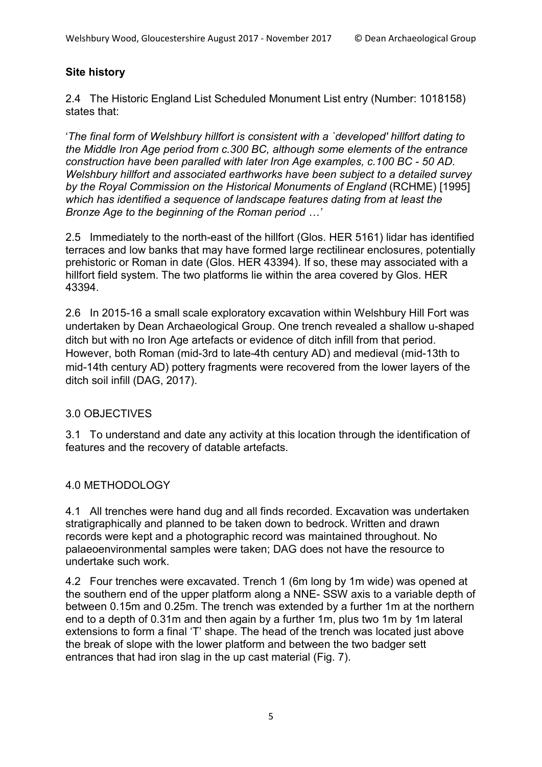#### **Site history**

2.4 The Historic England List Scheduled Monument List entry (Number: 1018158) states that:

'*The final form of Welshbury hillfort is consistent with a `developed' hillfort dating to the Middle Iron Age period from c.300 BC, although some elements of the entrance construction have been paralled with later Iron Age examples, c.100 BC - 50 AD. Welshbury hillfort and associated earthworks have been subject to a detailed survey by the Royal Commission on the Historical Monuments of England* (RCHME) [1995] *which has identified a sequence of landscape features dating from at least the Bronze Age to the beginning of the Roman period …'*

2.5 Immediately to the north-east of the hillfort (Glos. HER 5161) lidar has identified terraces and low banks that may have formed large rectilinear enclosures, potentially prehistoric or Roman in date (Glos. HER 43394). If so, these may associated with a hillfort field system. The two platforms lie within the area covered by Glos. HER 43394.

2.6 In 2015-16 a small scale exploratory excavation within Welshbury Hill Fort was undertaken by Dean Archaeological Group. One trench revealed a shallow u-shaped ditch but with no Iron Age artefacts or evidence of ditch infill from that period. However, both Roman (mid-3rd to late-4th century AD) and medieval (mid-13th to mid-14th century AD) pottery fragments were recovered from the lower layers of the ditch soil infill (DAG, 2017).

#### 3.0 OBJECTIVES

3.1 To understand and date any activity at this location through the identification of features and the recovery of datable artefacts.

4.0 METHODOLOGY

4.1 All trenches were hand dug and all finds recorded. Excavation was undertaken stratigraphically and planned to be taken down to bedrock. Written and drawn records were kept and a photographic record was maintained throughout. No palaeoenvironmental samples were taken; DAG does not have the resource to undertake such work.

4.2 Four trenches were excavated. Trench 1 (6m long by 1m wide) was opened at the southern end of the upper platform along a NNE- SSW axis to a variable depth of between 0.15m and 0.25m. The trench was extended by a further 1m at the northern end to a depth of 0.31m and then again by a further 1m, plus two 1m by 1m lateral extensions to form a final 'T' shape. The head of the trench was located just above the break of slope with the lower platform and between the two badger sett entrances that had iron slag in the up cast material (Fig. 7).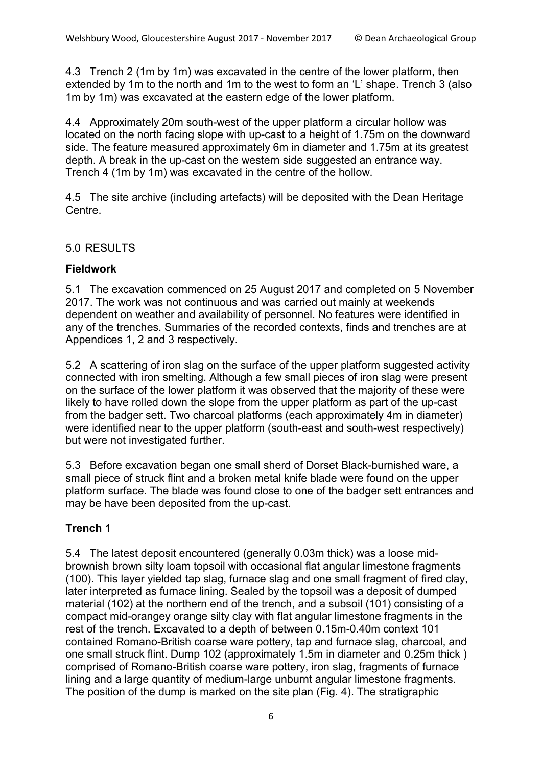4.3 Trench 2 (1m by 1m) was excavated in the centre of the lower platform, then extended by 1m to the north and 1m to the west to form an 'L' shape. Trench 3 (also 1m by 1m) was excavated at the eastern edge of the lower platform.

4.4 Approximately 20m south-west of the upper platform a circular hollow was located on the north facing slope with up-cast to a height of 1.75m on the downward side. The feature measured approximately 6m in diameter and 1.75m at its greatest depth. A break in the up-cast on the western side suggested an entrance way. Trench 4 (1m by 1m) was excavated in the centre of the hollow.

4.5 The site archive (including artefacts) will be deposited with the Dean Heritage Centre.

#### 5.0 RESULTS

#### **Fieldwork**

5.1 The excavation commenced on 25 August 2017 and completed on 5 November 2017. The work was not continuous and was carried out mainly at weekends dependent on weather and availability of personnel. No features were identified in any of the trenches. Summaries of the recorded contexts, finds and trenches are at Appendices 1, 2 and 3 respectively.

5.2 A scattering of iron slag on the surface of the upper platform suggested activity connected with iron smelting. Although a few small pieces of iron slag were present on the surface of the lower platform it was observed that the majority of these were likely to have rolled down the slope from the upper platform as part of the up-cast from the badger sett. Two charcoal platforms (each approximately 4m in diameter) were identified near to the upper platform (south-east and south-west respectively) but were not investigated further.

5.3 Before excavation began one small sherd of Dorset Black-burnished ware, a small piece of struck flint and a broken metal knife blade were found on the upper platform surface. The blade was found close to one of the badger sett entrances and may be have been deposited from the up-cast.

#### **Trench 1**

5.4 The latest deposit encountered (generally 0.03m thick) was a loose midbrownish brown silty loam topsoil with occasional flat angular limestone fragments (100). This layer yielded tap slag, furnace slag and one small fragment of fired clay, later interpreted as furnace lining. Sealed by the topsoil was a deposit of dumped material (102) at the northern end of the trench, and a subsoil (101) consisting of a compact mid-orangey orange silty clay with flat angular limestone fragments in the rest of the trench. Excavated to a depth of between 0.15m-0.40m context 101 contained Romano-British coarse ware pottery, tap and furnace slag, charcoal, and one small struck flint. Dump 102 (approximately 1.5m in diameter and 0.25m thick ) comprised of Romano-British coarse ware pottery, iron slag, fragments of furnace lining and a large quantity of medium-large unburnt angular limestone fragments. The position of the dump is marked on the site plan (Fig. 4). The stratigraphic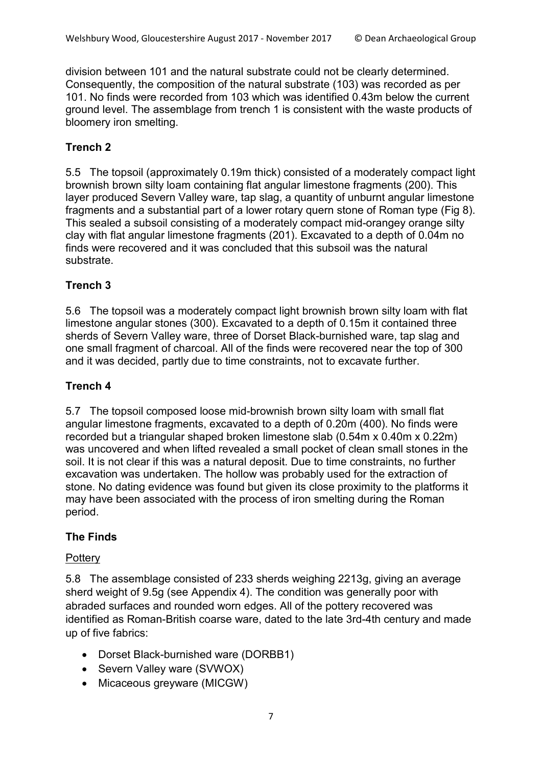division between 101 and the natural substrate could not be clearly determined. Consequently, the composition of the natural substrate (103) was recorded as per 101. No finds were recorded from 103 which was identified 0.43m below the current ground level. The assemblage from trench 1 is consistent with the waste products of bloomery iron smelting.

## **Trench 2**

5.5 The topsoil (approximately 0.19m thick) consisted of a moderately compact light brownish brown silty loam containing flat angular limestone fragments (200). This layer produced Severn Valley ware, tap slag, a quantity of unburnt angular limestone fragments and a substantial part of a lower rotary quern stone of Roman type (Fig 8). This sealed a subsoil consisting of a moderately compact mid-orangey orange silty clay with flat angular limestone fragments (201). Excavated to a depth of 0.04m no finds were recovered and it was concluded that this subsoil was the natural substrate.

### **Trench 3**

5.6 The topsoil was a moderately compact light brownish brown silty loam with flat limestone angular stones (300). Excavated to a depth of 0.15m it contained three sherds of Severn Valley ware, three of Dorset Black-burnished ware, tap slag and one small fragment of charcoal. All of the finds were recovered near the top of 300 and it was decided, partly due to time constraints, not to excavate further.

### **Trench 4**

5.7 The topsoil composed loose mid-brownish brown silty loam with small flat angular limestone fragments, excavated to a depth of 0.20m (400). No finds were recorded but a triangular shaped broken limestone slab (0.54m x 0.40m x 0.22m) was uncovered and when lifted revealed a small pocket of clean small stones in the soil. It is not clear if this was a natural deposit. Due to time constraints, no further excavation was undertaken. The hollow was probably used for the extraction of stone. No dating evidence was found but given its close proximity to the platforms it may have been associated with the process of iron smelting during the Roman period.

#### **The Finds**

#### **Pottery**

5.8 The assemblage consisted of 233 sherds weighing 2213g, giving an average sherd weight of 9.5g (see Appendix 4). The condition was generally poor with abraded surfaces and rounded worn edges. All of the pottery recovered was identified as Roman-British coarse ware, dated to the late 3rd-4th century and made up of five fabrics:

- Dorset Black-burnished ware (DORBB1)
- Severn Valley ware (SVWOX)
- Micaceous greyware (MICGW)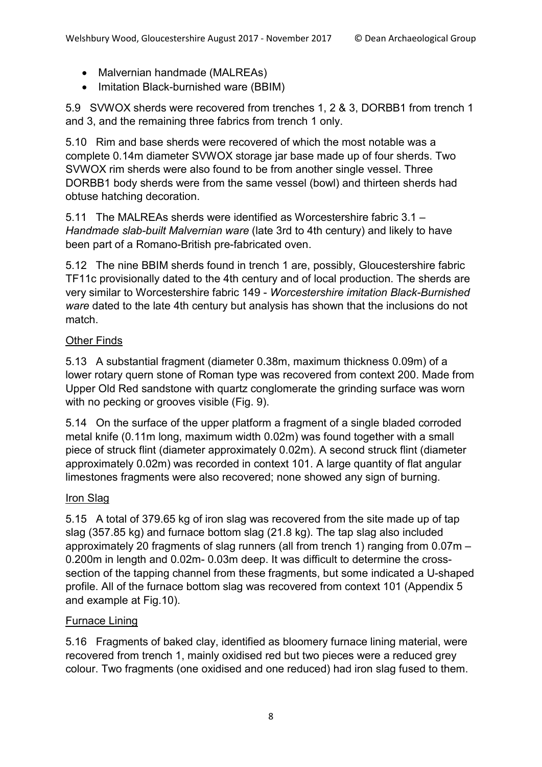- Malvernian handmade (MALREAs)
- Imitation Black-burnished ware (BBIM)

5.9 SVWOX sherds were recovered from trenches 1, 2 & 3, DORBB1 from trench 1 and 3, and the remaining three fabrics from trench 1 only.

5.10 Rim and base sherds were recovered of which the most notable was a complete 0.14m diameter SVWOX storage jar base made up of four sherds. Two SVWOX rim sherds were also found to be from another single vessel. Three DORBB1 body sherds were from the same vessel (bowl) and thirteen sherds had obtuse hatching decoration.

5.11 The MALREAs sherds were identified as Worcestershire fabric 3.1 – *Handmade slab-built Malvernian ware* (late 3rd to 4th century) and likely to have been part of a Romano-British pre-fabricated oven.

5.12The nine BBIM sherds found in trench 1 are, possibly, Gloucestershire fabric TF11c provisionally dated to the 4th century and of local production. The sherds are very similar to Worcestershire fabric 149 - *Worcestershire imitation Black-Burnished ware* dated to the late 4th century but analysis has shown that the inclusions do not match.

#### Other Finds

5.13 A substantial fragment (diameter 0.38m, maximum thickness 0.09m) of a lower rotary quern stone of Roman type was recovered from context 200. Made from Upper Old Red sandstone with quartz conglomerate the grinding surface was worn with no pecking or grooves visible (Fig. 9).

5.14 On the surface of the upper platform a fragment of a single bladed corroded metal knife (0.11m long, maximum width 0.02m) was found together with a small piece of struck flint (diameter approximately 0.02m). A second struck flint (diameter approximately 0.02m) was recorded in context 101. A large quantity of flat angular limestones fragments were also recovered; none showed any sign of burning.

#### Iron Slag

5.15 A total of 379.65 kg of iron slag was recovered from the site made up of tap slag (357.85 kg) and furnace bottom slag (21.8 kg). The tap slag also included approximately 20 fragments of slag runners (all from trench 1) ranging from 0.07m – 0.200m in length and 0.02m- 0.03m deep. It was difficult to determine the crosssection of the tapping channel from these fragments, but some indicated a U-shaped profile. All of the furnace bottom slag was recovered from context 101 (Appendix 5 and example at Fig.10).

## Furnace Lining

5.16 Fragments of baked clay, identified as bloomery furnace lining material, were recovered from trench 1, mainly oxidised red but two pieces were a reduced grey colour. Two fragments (one oxidised and one reduced) had iron slag fused to them.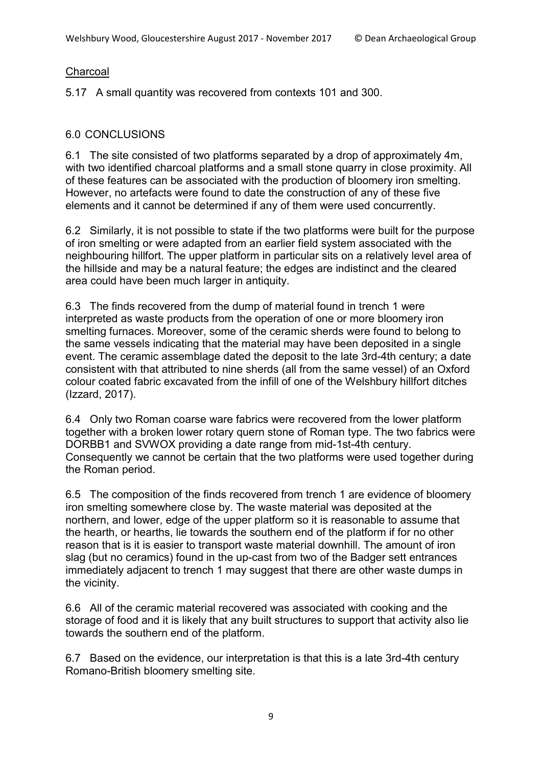#### Charcoal

5.17 A small quantity was recovered from contexts 101 and 300.

#### 6.0 CONCLUSIONS

6.1 The site consisted of two platforms separated by a drop of approximately 4m, with two identified charcoal platforms and a small stone quarry in close proximity. All of these features can be associated with the production of bloomery iron smelting. However, no artefacts were found to date the construction of any of these five elements and it cannot be determined if any of them were used concurrently.

6.2 Similarly, it is not possible to state if the two platforms were built for the purpose of iron smelting or were adapted from an earlier field system associated with the neighbouring hillfort. The upper platform in particular sits on a relatively level area of the hillside and may be a natural feature; the edges are indistinct and the cleared area could have been much larger in antiquity.

6.3 The finds recovered from the dump of material found in trench 1 were interpreted as waste products from the operation of one or more bloomery iron smelting furnaces. Moreover, some of the ceramic sherds were found to belong to the same vessels indicating that the material may have been deposited in a single event. The ceramic assemblage dated the deposit to the late 3rd-4th century; a date consistent with that attributed to nine sherds (all from the same vessel) of an Oxford colour coated fabric excavated from the infill of one of the Welshbury hillfort ditches (Izzard, 2017).

6.4 Only two Roman coarse ware fabrics were recovered from the lower platform together with a broken lower rotary quern stone of Roman type. The two fabrics were DORBB1 and SVWOX providing a date range from mid-1st-4th century. Consequently we cannot be certain that the two platforms were used together during the Roman period.

6.5 The composition of the finds recovered from trench 1 are evidence of bloomery iron smelting somewhere close by. The waste material was deposited at the northern, and lower, edge of the upper platform so it is reasonable to assume that the hearth, or hearths, lie towards the southern end of the platform if for no other reason that is it is easier to transport waste material downhill. The amount of iron slag (but no ceramics) found in the up-cast from two of the Badger sett entrances immediately adjacent to trench 1 may suggest that there are other waste dumps in the vicinity.

6.6 All of the ceramic material recovered was associated with cooking and the storage of food and it is likely that any built structures to support that activity also lie towards the southern end of the platform.

6.7 Based on the evidence, our interpretation is that this is a late 3rd-4th century Romano-British bloomery smelting site.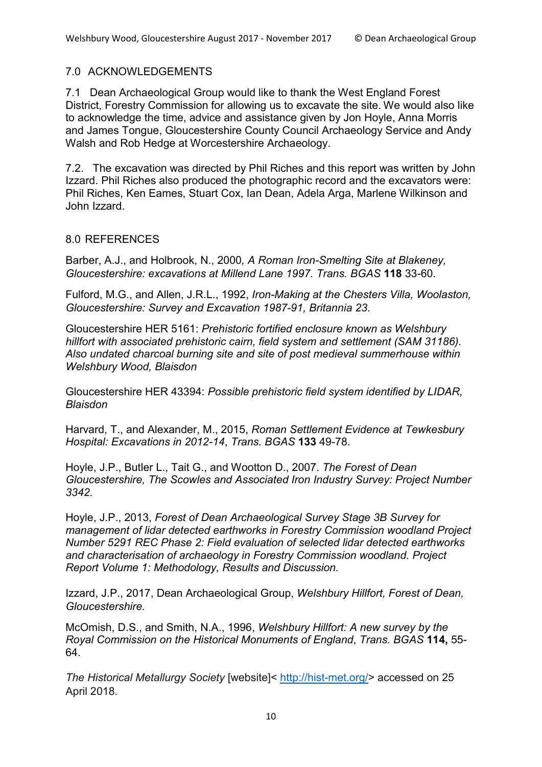#### 7.0 ACKNOWLEDGEMENTS

7.1 Dean Archaeological Group would like to thank the West England Forest District, Forestry Commission for allowing us to excavate the site. We would also like to acknowledge the time, advice and assistance given by Jon Hoyle, Anna Morris and James Tongue, Gloucestershire County Council Archaeology Service and Andy Walsh and Rob Hedge at Worcestershire Archaeology.

7.2. The excavation was directed by Phil Riches and this report was written by John Izzard. Phil Riches also produced the photographic record and the excavators were: Phil Riches, Ken Eames, Stuart Cox, Ian Dean, Adela Arga, Marlene Wilkinson and John Izzard.

#### 8.0 REFERENCES

Barber, A.J., and Holbrook, N., 2000*, A Roman Iron-Smelting Site at Blakeney, Gloucestershire: excavations at Millend Lane 1997. Trans. BGAS* **118** 33-60.

Fulford, M.G., and Allen, J.R.L., 1992, *Iron-Making at the Chesters Villa, Woolaston, Gloucestershire: Survey and Excavation 1987-91, Britannia 23.*

Gloucestershire HER 5161: *Prehistoric fortified enclosure known as Welshbury hillfort with associated prehistoric cairn, field system and settlement (SAM 31186). Also undated charcoal burning site and site of post medieval summerhouse within Welshbury Wood, Blaisdon*

Gloucestershire HER 43394: *Possible prehistoric field system identified by LIDAR, Blaisdon*

Harvard, T., and Alexander, M., 2015, *Roman Settlement Evidence at Tewkesbury Hospital: Excavations in 2012-14*, *Trans. BGAS* **133** 49-78.

Hoyle, J.P., Butler L., Tait G., and Wootton D., 2007. *The Forest of Dean Gloucestershire, The Scowles and Associated Iron Industry Survey: Project Number 3342.*

Hoyle, J.P., 2013, *Forest of Dean Archaeological Survey Stage 3B Survey for management of lidar detected earthworks in Forestry Commission woodland Project Number 5291 REC Phase 2: Field evaluation of selected lidar detected earthworks and characterisation of archaeology in Forestry Commission woodland. Project Report Volume 1: Methodology, Results and Discussion.*

Izzard, J.P., 2017, Dean Archaeological Group, *Welshbury Hillfort, Forest of Dean, Gloucestershire.*

McOmish, D.S., and Smith, N.A., 1996, *Welshbury Hillfort: A new survey by the Royal Commission on the Historical Monuments of England*, *Trans. BGAS* **114,** 55- 64.

*The Historical Metallurgy Society* [website]< http://hist-met.org/> accessed on 25 April 2018.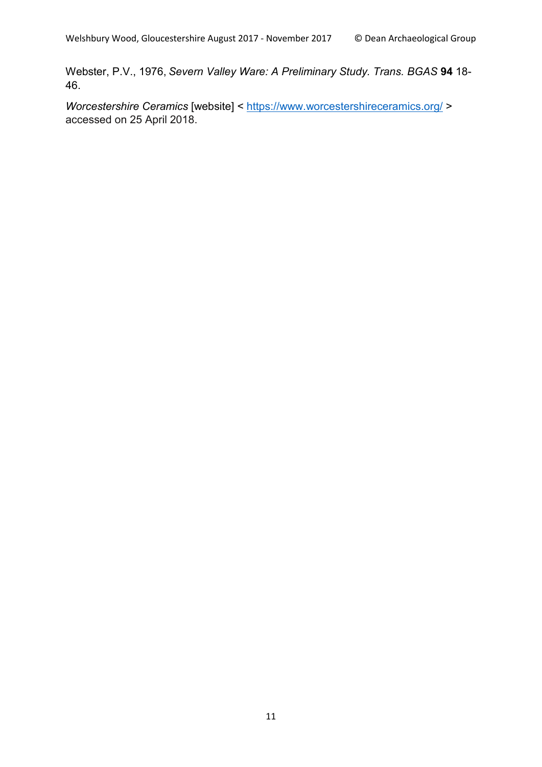Webster, P.V., 1976, *Severn Valley Ware: A Preliminary Study. Trans. BGAS* **94** 18- 46.

*Worcestershire Ceramics* [website] < https://www.worcestershireceramics.org/ > accessed on 25 April 2018.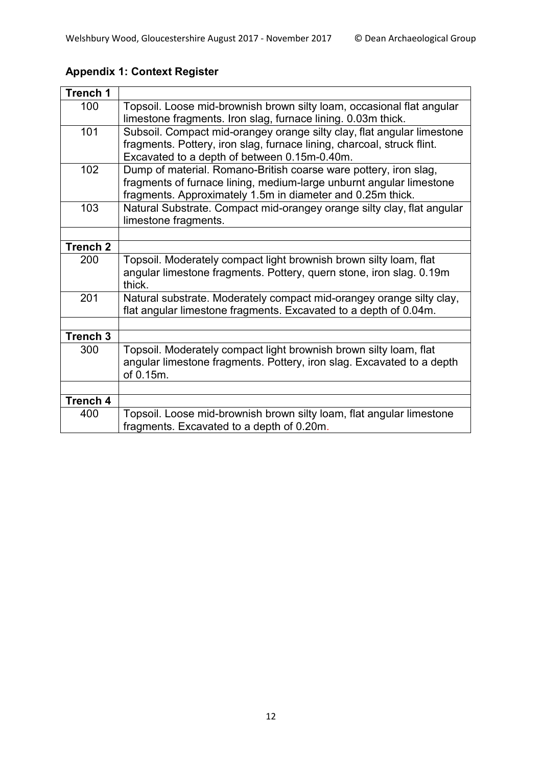| Trench 1            |                                                                                                                                          |  |  |  |  |
|---------------------|------------------------------------------------------------------------------------------------------------------------------------------|--|--|--|--|
| 100                 | Topsoil. Loose mid-brownish brown silty loam, occasional flat angular                                                                    |  |  |  |  |
|                     | limestone fragments. Iron slag, furnace lining. 0.03m thick.                                                                             |  |  |  |  |
| 101                 | Subsoil. Compact mid-orangey orange silty clay, flat angular limestone                                                                   |  |  |  |  |
|                     | fragments. Pottery, iron slag, furnace lining, charcoal, struck flint.                                                                   |  |  |  |  |
|                     | Excavated to a depth of between 0.15m-0.40m.                                                                                             |  |  |  |  |
| 102                 | Dump of material. Romano-British coarse ware pottery, iron slag,                                                                         |  |  |  |  |
|                     | fragments of furnace lining, medium-large unburnt angular limestone<br>fragments. Approximately 1.5m in diameter and 0.25m thick.        |  |  |  |  |
| 103                 | Natural Substrate. Compact mid-orangey orange silty clay, flat angular                                                                   |  |  |  |  |
|                     | limestone fragments.                                                                                                                     |  |  |  |  |
|                     |                                                                                                                                          |  |  |  |  |
| Trench <sub>2</sub> |                                                                                                                                          |  |  |  |  |
| 200                 | Topsoil. Moderately compact light brownish brown silty loam, flat                                                                        |  |  |  |  |
|                     | angular limestone fragments. Pottery, quern stone, iron slag. 0.19m<br>thick.                                                            |  |  |  |  |
| 201                 | Natural substrate. Moderately compact mid-orangey orange silty clay,<br>flat angular limestone fragments. Excavated to a depth of 0.04m. |  |  |  |  |
|                     |                                                                                                                                          |  |  |  |  |
| Trench 3            |                                                                                                                                          |  |  |  |  |
| 300                 | Topsoil. Moderately compact light brownish brown silty loam, flat                                                                        |  |  |  |  |
|                     | angular limestone fragments. Pottery, iron slag. Excavated to a depth                                                                    |  |  |  |  |
|                     | of 0.15m.                                                                                                                                |  |  |  |  |
|                     |                                                                                                                                          |  |  |  |  |
| <b>Trench 4</b>     |                                                                                                                                          |  |  |  |  |
| 400                 | Topsoil. Loose mid-brownish brown silty loam, flat angular limestone                                                                     |  |  |  |  |
|                     | fragments. Excavated to a depth of 0.20m.                                                                                                |  |  |  |  |

## **Appendix 1: Context Register**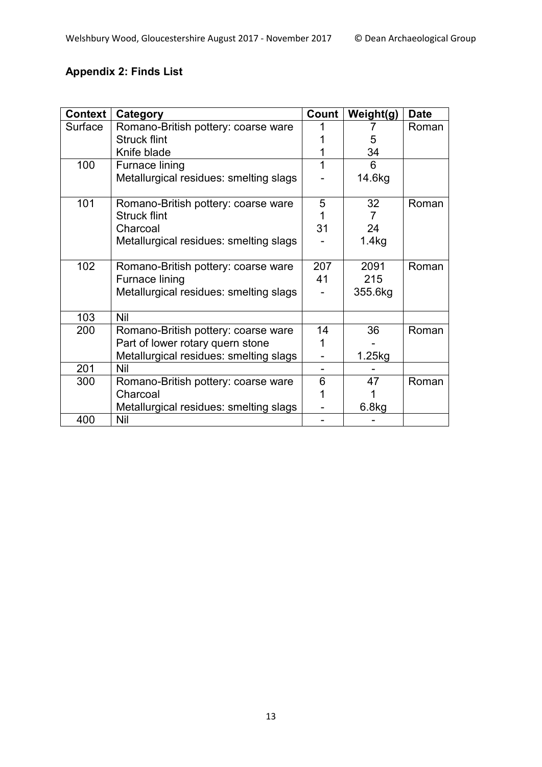# **Appendix 2: Finds List**

| <b>Context</b> | Category                               | Count | Weight(g)      | <b>Date</b> |
|----------------|----------------------------------------|-------|----------------|-------------|
| Surface        | Romano-British pottery: coarse ware    |       |                | Roman       |
|                | <b>Struck flint</b>                    |       | 5              |             |
|                | Knife blade                            |       | 34             |             |
| 100            | Furnace lining                         | 1     | 6              |             |
|                | Metallurgical residues: smelting slags |       | 14.6kg         |             |
| 101            | Romano-British pottery: coarse ware    | 5     | 32             | Roman       |
|                | <b>Struck flint</b>                    | 1     | $\overline{7}$ |             |
|                | Charcoal                               | 31    | 24             |             |
|                | Metallurgical residues: smelting slags |       | 1.4kg          |             |
| 102            | Romano-British pottery: coarse ware    | 207   | 2091           | Roman       |
|                | Furnace lining                         | 41    | 215            |             |
|                | Metallurgical residues: smelting slags |       | 355.6kg        |             |
| 103            | Nil                                    |       |                |             |
| 200            | Romano-British pottery: coarse ware    | 14    | 36             | Roman       |
|                | Part of lower rotary quern stone       | 1     |                |             |
|                | Metallurgical residues: smelting slags |       | 1.25kg         |             |
| 201            | <b>Nil</b>                             |       |                |             |
| 300            | Romano-British pottery: coarse ware    | 6     | 47             | Roman       |
|                | Charcoal                               |       |                |             |
|                | Metallurgical residues: smelting slags |       | 6.8kg          |             |
| 400            | Nil                                    |       |                |             |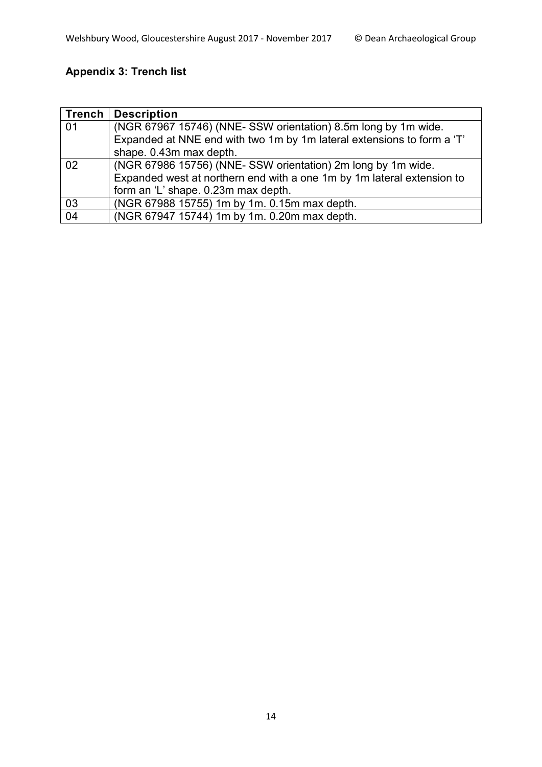# **Appendix 3: Trench list**

| <b>Trench</b> | <b>Description</b>                                                     |  |  |  |  |
|---------------|------------------------------------------------------------------------|--|--|--|--|
| 01            | (NGR 67967 15746) (NNE-SSW orientation) 8.5m long by 1m wide.          |  |  |  |  |
|               | Expanded at NNE end with two 1m by 1m lateral extensions to form a 'T' |  |  |  |  |
|               | shape. 0.43m max depth.                                                |  |  |  |  |
| 02            | (NGR 67986 15756) (NNE-SSW orientation) 2m long by 1m wide.            |  |  |  |  |
|               | Expanded west at northern end with a one 1m by 1m lateral extension to |  |  |  |  |
|               | form an 'L' shape. 0.23m max depth.                                    |  |  |  |  |
| 03            | (NGR 67988 15755) 1m by 1m. 0.15m max depth.                           |  |  |  |  |
| 04            | (NGR 67947 15744) 1m by 1m. 0.20m max depth.                           |  |  |  |  |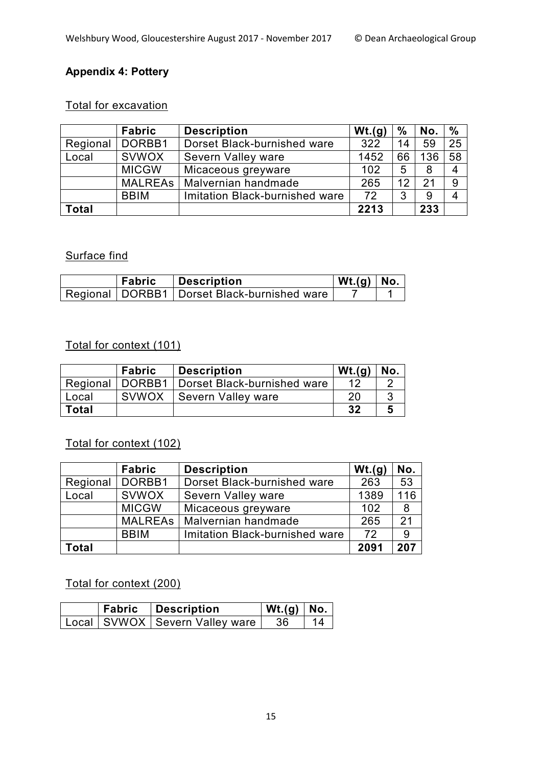## **Appendix 4: Pottery**

#### Total for excavation

|              | <b>Fabric</b>  | <b>Description</b>             | Wt.(g) | %  | No. | $\frac{0}{0}$ |
|--------------|----------------|--------------------------------|--------|----|-----|---------------|
| Regional     | DORBB1         | Dorset Black-burnished ware    | 322    | 14 | 59  | 25            |
| Local        | <b>SVWOX</b>   | Severn Valley ware             | 1452   | 66 | 136 | 58            |
|              | <b>MICGW</b>   | Micaceous greyware             | 102    | 5  | 8   |               |
|              | <b>MALREAS</b> | Malvernian handmade            | 265    | 12 | 21  | 9             |
|              | <b>BBIM</b>    | Imitation Black-burnished ware | 72     | ົ  | 9   |               |
| <b>Total</b> |                |                                | 2213   |    | 233 |               |

## Surface find

| Fabric | Description                                     | $Wt.(q) \mid No.$ |  |
|--------|-------------------------------------------------|-------------------|--|
|        | Regional   DORBB1   Dorset Black-burnished ware |                   |  |

### Total for context (101)

|              | <b>Fabric</b> | <b>Description</b>                   | Wt.(g) | No. |
|--------------|---------------|--------------------------------------|--------|-----|
| Regional     |               | DORBB1   Dorset Black-burnished ware | 12     |     |
| Local        | <b>SVWOX</b>  | Severn Valley ware                   | 20     |     |
| <b>Total</b> |               |                                      | -32    |     |

### Total for context (102)

|              | <b>Fabric</b>  | <b>Description</b>             | Wt.(g) | No.              |
|--------------|----------------|--------------------------------|--------|------------------|
| Regional     | DORBB1         | Dorset Black-burnished ware    | 263    | 53               |
| Local        | <b>SVWOX</b>   | Severn Valley ware             | 1389   | 116              |
|              | <b>MICGW</b>   | Micaceous greyware             | 102    | 8                |
|              | <b>MALREAS</b> | Malvernian handmade            | 265    | 21               |
|              | <b>BBIM</b>    | Imitation Black-burnished ware | 72     | 9                |
| <b>Total</b> |                |                                | 2091   | $\overline{207}$ |

#### Total for context (200)

|  | <b>Fabric</b> Description               | $\vert$ Wt.(g) $\vert$ No. |    |
|--|-----------------------------------------|----------------------------|----|
|  | Local   SVWOX   Severn Valley ware   36 |                            | 14 |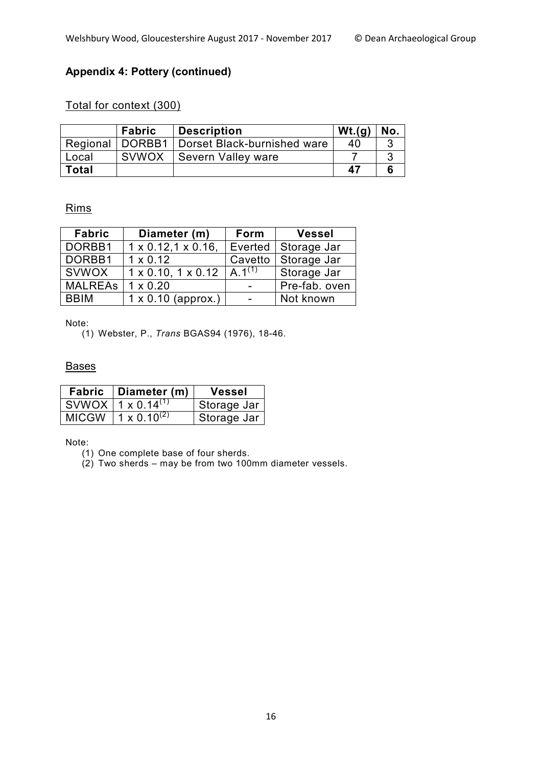# **Appendix 4: Pottery (continued)**

#### Total for context (300)

|              | <b>Fabric</b> | <b>Description</b>                   | Wt.(q)    | No. |
|--------------|---------------|--------------------------------------|-----------|-----|
| Regional     |               | DORBB1   Dorset Black-burnished ware | 40        |     |
| Local        | <b>SVWOX</b>  | ' Severn Valley ware                 |           |     |
| <b>Total</b> |               |                                      | <b>47</b> |     |

## Rims

| <b>Fabric</b>  | Diameter (m)                      | Form        | <b>Vessel</b> |
|----------------|-----------------------------------|-------------|---------------|
| DORBB1         | $1 \times 0.12, 1 \times 0.16$ ,  | Everted     | Storage Jar   |
| DORBB1         | $1 \times 0.12$                   | Cavetto     | Storage Jar   |
| <b>SVWOX</b>   | $1 \times 0.10$ , $1 \times 0.12$ | $A.1^{(1)}$ | Storage Jar   |
| <b>MALREAS</b> | $1 \times 0.20$                   | -           | Pre-fab. oven |
| <b>BBIM</b>    | $1 \times 0.10$ (approx.)         | $\sim$      | Not known     |

Note:

(1) Webster, P., *Trans* BGAS94 (1976), 18-46.

#### Bases

| Fabric | Diameter (m)          | <b>Vessel</b> |
|--------|-----------------------|---------------|
| SVWOX. | $1 \times 0.14^{(1)}$ | Storage Jar   |
| MICGW  | $1 \times 0.10^{(2)}$ | Storage Jar   |

Note:

(1) One complete base of four sherds.

 $(2)$  Two sherds – may be from two 100mm diameter vessels.